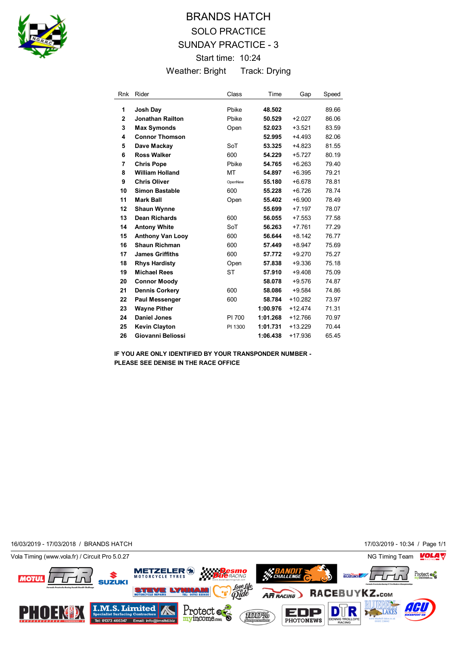

## BRANDS HATCH SOLO PRACTICE SUNDAY PRACTICE - 3 Start time: 10:24 Weather: Bright Track: Drying

| <b>Rnk</b>     | Rider                   | Class     | Time     | Gap       | Speed |
|----------------|-------------------------|-----------|----------|-----------|-------|
| 1              | Josh Day                | Pbike     | 48.502   |           | 89.66 |
| $\overline{2}$ | <b>Jonathan Railton</b> | Pbike     | 50.529   | $+2.027$  | 86.06 |
| 3              | <b>Max Symonds</b>      | Open      | 52.023   | $+3.521$  | 83.59 |
| 4              | <b>Connor Thomson</b>   |           | 52.995   | $+4.493$  | 82.06 |
| 5              | Dave Mackay             | SoT       | 53.325   | +4.823    | 81.55 |
| 6              | <b>Ross Walker</b>      | 600       | 54.229   | $+5.727$  | 80.19 |
| 7              | <b>Chris Pope</b>       | Pbike     | 54.765   | $+6.263$  | 79.40 |
| 8              | <b>William Holland</b>  | MT        | 54.897   | $+6.395$  | 79.21 |
| 9              | <b>Chris Oliver</b>     | OpenNew   | 55.180   | $+6.678$  | 78.81 |
| 10             | <b>Simon Bastable</b>   | 600       | 55.228   | $+6.726$  | 78.74 |
| 11             | <b>Mark Ball</b>        | Open      | 55.402   | $+6.900$  | 78.49 |
| 12             | <b>Shaun Wynne</b>      |           | 55.699   | $+7.197$  | 78.07 |
| 13             | <b>Dean Richards</b>    | 600       | 56.055   | $+7.553$  | 77.58 |
| 14             | <b>Antony White</b>     | SoT       | 56.263   | $+7.761$  | 77.29 |
| 15             | <b>Anthony Van Looy</b> | 600       | 56.644   | $+8.142$  | 76.77 |
| 16             | <b>Shaun Richman</b>    | 600       | 57.449   | $+8.947$  | 75.69 |
| 17             | <b>James Griffiths</b>  | 600       | 57.772   | $+9.270$  | 75.27 |
| 18             | <b>Rhys Hardisty</b>    | Open      | 57.838   | $+9.336$  | 75.18 |
| 19             | <b>Michael Rees</b>     | <b>ST</b> | 57.910   | $+9.408$  | 75.09 |
| 20             | <b>Connor Moody</b>     |           | 58.078   | $+9.576$  | 74.87 |
| 21             | <b>Dennis Corkery</b>   | 600       | 58.086   | $+9.584$  | 74.86 |
| 22             | <b>Paul Messenger</b>   | 600       | 58.784   | $+10.282$ | 73.97 |
| 23             | <b>Wayne Pither</b>     |           | 1:00.976 | $+12.474$ | 71.31 |
| 24             | <b>Daniel Jones</b>     | PI 700    | 1:01.268 | $+12.766$ | 70.97 |
| 25             | <b>Kevin Clayton</b>    | PI 1300   | 1:01.731 | $+13.229$ | 70.44 |
| 26             | Giovanni Beliossi       |           | 1:06.438 | $+17.936$ | 65.45 |

**IF YOU ARE ONLY IDENTIFIED BY YOUR TRANSPONDER NUMBER - PLEASE SEE DENISE IN THE RACE OFFICE**